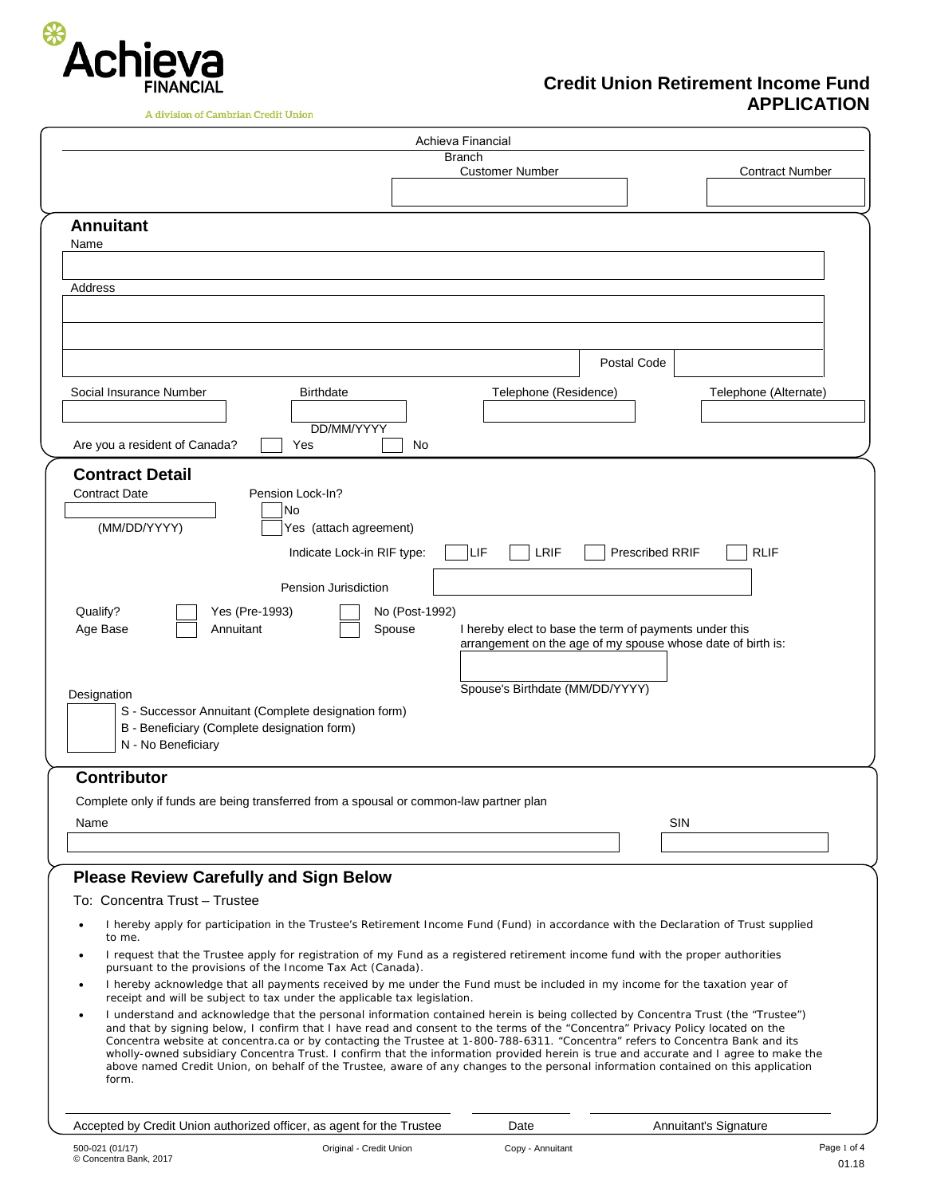

**Credit Union Retirement Income Fund APPLICATION**

| A division of Cambrian Credit Union |  |
|-------------------------------------|--|
|                                     |  |

| Achieva Financial                                                                                                                                                                                                                                                                                                                                                                                                                                                                                                                                                                                                                                                                             |                                                                                           |                                                             |
|-----------------------------------------------------------------------------------------------------------------------------------------------------------------------------------------------------------------------------------------------------------------------------------------------------------------------------------------------------------------------------------------------------------------------------------------------------------------------------------------------------------------------------------------------------------------------------------------------------------------------------------------------------------------------------------------------|-------------------------------------------------------------------------------------------|-------------------------------------------------------------|
| <b>Branch</b>                                                                                                                                                                                                                                                                                                                                                                                                                                                                                                                                                                                                                                                                                 | <b>Customer Number</b>                                                                    | <b>Contract Number</b>                                      |
|                                                                                                                                                                                                                                                                                                                                                                                                                                                                                                                                                                                                                                                                                               |                                                                                           |                                                             |
| <b>Annuitant</b><br>Name                                                                                                                                                                                                                                                                                                                                                                                                                                                                                                                                                                                                                                                                      |                                                                                           |                                                             |
| Address                                                                                                                                                                                                                                                                                                                                                                                                                                                                                                                                                                                                                                                                                       |                                                                                           |                                                             |
|                                                                                                                                                                                                                                                                                                                                                                                                                                                                                                                                                                                                                                                                                               |                                                                                           |                                                             |
|                                                                                                                                                                                                                                                                                                                                                                                                                                                                                                                                                                                                                                                                                               |                                                                                           | Postal Code                                                 |
| Social Insurance Number<br><b>Birthdate</b><br>DD/MM/YYYY                                                                                                                                                                                                                                                                                                                                                                                                                                                                                                                                                                                                                                     | Telephone (Residence)                                                                     | Telephone (Alternate)                                       |
| Are you a resident of Canada?<br>Yes<br>No                                                                                                                                                                                                                                                                                                                                                                                                                                                                                                                                                                                                                                                    |                                                                                           |                                                             |
| <b>Contract Detail</b><br><b>Contract Date</b><br>Pension Lock-In?<br>No<br>(MM/DD/YYYY)<br>Yes (attach agreement)<br>Indicate Lock-in RIF type:                                                                                                                                                                                                                                                                                                                                                                                                                                                                                                                                              | LIF<br>LRIF                                                                               | <b>Prescribed RRIF</b><br><b>RLIF</b>                       |
| Pension Jurisdiction<br>Qualify?<br>Yes (Pre-1993)<br>No (Post-1992)<br>Annuitant<br>Age Base<br>Spouse<br>Designation<br>S - Successor Annuitant (Complete designation form)<br>B - Beneficiary (Complete designation form)<br>N - No Beneficiary                                                                                                                                                                                                                                                                                                                                                                                                                                            | I hereby elect to base the term of payments under this<br>Spouse's Birthdate (MM/DD/YYYY) | arrangement on the age of my spouse whose date of birth is: |
| <b>Contributor</b>                                                                                                                                                                                                                                                                                                                                                                                                                                                                                                                                                                                                                                                                            |                                                                                           |                                                             |
| Complete only if funds are being transferred from a spousal or common-law partner plan<br>Name                                                                                                                                                                                                                                                                                                                                                                                                                                                                                                                                                                                                |                                                                                           | SIN                                                         |
|                                                                                                                                                                                                                                                                                                                                                                                                                                                                                                                                                                                                                                                                                               |                                                                                           |                                                             |
| <b>Please Review Carefully and Sign Below</b>                                                                                                                                                                                                                                                                                                                                                                                                                                                                                                                                                                                                                                                 |                                                                                           |                                                             |
| To: Concentra Trust - Trustee                                                                                                                                                                                                                                                                                                                                                                                                                                                                                                                                                                                                                                                                 |                                                                                           |                                                             |
| I hereby apply for participation in the Trustee's Retirement Income Fund (Fund) in accordance with the Declaration of Trust supplied<br>to me.                                                                                                                                                                                                                                                                                                                                                                                                                                                                                                                                                |                                                                                           |                                                             |
| I request that the Trustee apply for registration of my Fund as a registered retirement income fund with the proper authorities<br>pursuant to the provisions of the Income Tax Act (Canada).                                                                                                                                                                                                                                                                                                                                                                                                                                                                                                 |                                                                                           |                                                             |
| I hereby acknowledge that all payments received by me under the Fund must be included in my income for the taxation year of<br>٠<br>receipt and will be subject to tax under the applicable tax legislation.                                                                                                                                                                                                                                                                                                                                                                                                                                                                                  |                                                                                           |                                                             |
| I understand and acknowledge that the personal information contained herein is being collected by Concentra Trust (the "Trustee")<br>and that by signing below, I confirm that I have read and consent to the terms of the "Concentra" Privacy Policy located on the<br>Concentra website at concentra.ca or by contacting the Trustee at 1-800-788-6311. "Concentra" refers to Concentra Bank and its<br>wholly-owned subsidiary Concentra Trust. I confirm that the information provided herein is true and accurate and I agree to make the<br>above named Credit Union, on behalf of the Trustee, aware of any changes to the personal information contained on this application<br>form. |                                                                                           |                                                             |
| Accepted by Credit Union authorized officer, as agent for the Trustee                                                                                                                                                                                                                                                                                                                                                                                                                                                                                                                                                                                                                         | Date                                                                                      | Annuitant's Signature                                       |
| Original - Credit Union<br>500-021 (01/17)                                                                                                                                                                                                                                                                                                                                                                                                                                                                                                                                                                                                                                                    | Copy - Annuitant                                                                          | Page 1 of 4                                                 |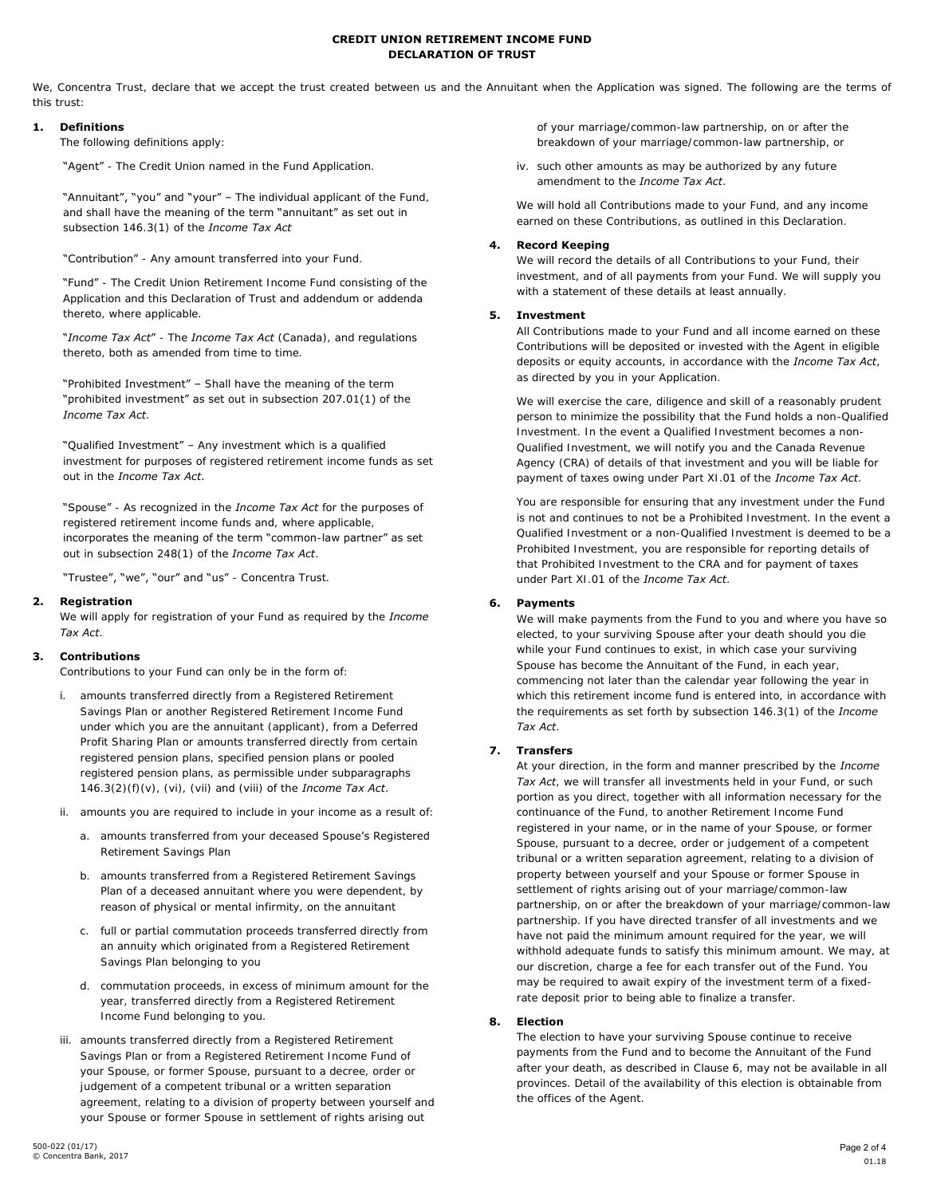### **CREDIT UNION RETIREMENT INCOME FUND DECLARATION OF TRUST**

We, Concentra Trust, declare that we accept the trust created between us and the Annuitant when the Application was signed. The following are the terms of this trust:

# **1. Definitions**

The following definitions apply:

"Agent" - The Credit Union named in the Fund Application.

"Annuitant", "you" and "your" – The individual applicant of the Fund, and shall have the meaning of the term "annuitant" as set out in subsection 146.3(1) of the *Income Tax Act*

"Contribution" - Any amount transferred into your Fund.

"Fund" - The Credit Union Retirement Income Fund consisting of the Application and this Declaration of Trust and addendum or addenda thereto, where applicable.

"*Income Tax Act*" - The *Income Tax Act* (Canada), and regulations thereto, both as amended from time to time.

"Prohibited Investment" – Shall have the meaning of the term "prohibited investment" as set out in subsection 207.01(1) of the *Income Tax Act*.

"Qualified Investment" – Any investment which is a qualified investment for purposes of registered retirement income funds as set out in the *Income Tax Act*.

"Spouse" - As recognized in the *Income Tax Act* for the purposes of registered retirement income funds and, where applicable, incorporates the meaning of the term "common-law partner" as set out in subsection 248(1) of the *Income Tax Act*.

"Trustee", "we", "our" and "us" - Concentra Trust.

### **2. Registration**

We will apply for registration of your Fund as required by the *Income Tax Act*.

#### **3. Contributions**

Contributions to your Fund can only be in the form of:

- i. amounts transferred directly from a Registered Retirement Savings Plan or another Registered Retirement Income Fund under which you are the annuitant (applicant), from a Deferred Profit Sharing Plan or amounts transferred directly from certain registered pension plans, specified pension plans or pooled registered pension plans, as permissible under subparagraphs 146.3(2)(f)(v), (vi), (vii) and (viii) of the *Income Tax Act*.
- ii. amounts you are required to include in your income as a result of:
	- a. amounts transferred from your deceased Spouse's Registered Retirement Savings Plan
	- b. amounts transferred from a Registered Retirement Savings Plan of a deceased annuitant where you were dependent, by reason of physical or mental infirmity, on the annuitant
	- c. full or partial commutation proceeds transferred directly from an annuity which originated from a Registered Retirement Savings Plan belonging to you
	- d. commutation proceeds, in excess of minimum amount for the year, transferred directly from a Registered Retirement Income Fund belonging to you.
- iii. amounts transferred directly from a Registered Retirement Savings Plan or from a Registered Retirement Income Fund of your Spouse, or former Spouse, pursuant to a decree, order or judgement of a competent tribunal or a written separation agreement, relating to a division of property between yourself and your Spouse or former Spouse in settlement of rights arising out

of your marriage/common-law partnership, on or after the breakdown of your marriage/common-law partnership, or

iv. such other amounts as may be authorized by any future amendment to the *Income Tax Act*.

We will hold all Contributions made to your Fund, and any income earned on these Contributions, as outlined in this Declaration.

#### **4. Record Keeping**

We will record the details of all Contributions to your Fund, their investment, and of all payments from your Fund. We will supply you with a statement of these details at least annually.

### **5. Investment**

All Contributions made to your Fund and all income earned on these Contributions will be deposited or invested with the Agent in eligible deposits or equity accounts, in accordance with the *Income Tax Act*, as directed by you in your Application.

We will exercise the care, diligence and skill of a reasonably prudent person to minimize the possibility that the Fund holds a non-Qualified Investment. In the event a Qualified Investment becomes a non-Qualified Investment, we will notify you and the Canada Revenue Agency (CRA) of details of that investment and you will be liable for payment of taxes owing under Part XI.01 of the *Income Tax Act*.

You are responsible for ensuring that any investment under the Fund is not and continues to not be a Prohibited Investment. In the event a Qualified Investment or a non-Qualified Investment is deemed to be a Prohibited Investment, you are responsible for reporting details of that Prohibited Investment to the CRA and for payment of taxes under Part XI.01 of the *Income Tax Act*.

# **6. Payments**

We will make payments from the Fund to you and where you have so elected, to your surviving Spouse after your death should you die while your Fund continues to exist, in which case your surviving Spouse has become the Annuitant of the Fund, in each year, commencing not later than the calendar year following the year in which this retirement income fund is entered into, in accordance with the requirements as set forth by subsection 146.3(1) of the *Income Tax Act*.

# **7. Transfers**

At your direction, in the form and manner prescribed by the *Income Tax Act*, we will transfer all investments held in your Fund, or such portion as you direct, together with all information necessary for the continuance of the Fund, to another Retirement Income Fund registered in your name, or in the name of your Spouse, or former Spouse, pursuant to a decree, order or judgement of a competent tribunal or a written separation agreement, relating to a division of property between yourself and your Spouse or former Spouse in settlement of rights arising out of your marriage/common-law partnership, on or after the breakdown of your marriage/common-law partnership. If you have directed transfer of all investments and we have not paid the minimum amount required for the year, we will withhold adequate funds to satisfy this minimum amount. We may, at our discretion, charge a fee for each transfer out of the Fund. You may be required to await expiry of the investment term of a fixedrate deposit prior to being able to finalize a transfer.

#### **8. Election**

The election to have your surviving Spouse continue to receive payments from the Fund and to become the Annuitant of the Fund after your death, as described in Clause 6, may not be available in all provinces. Detail of the availability of this election is obtainable from the offices of the Agent.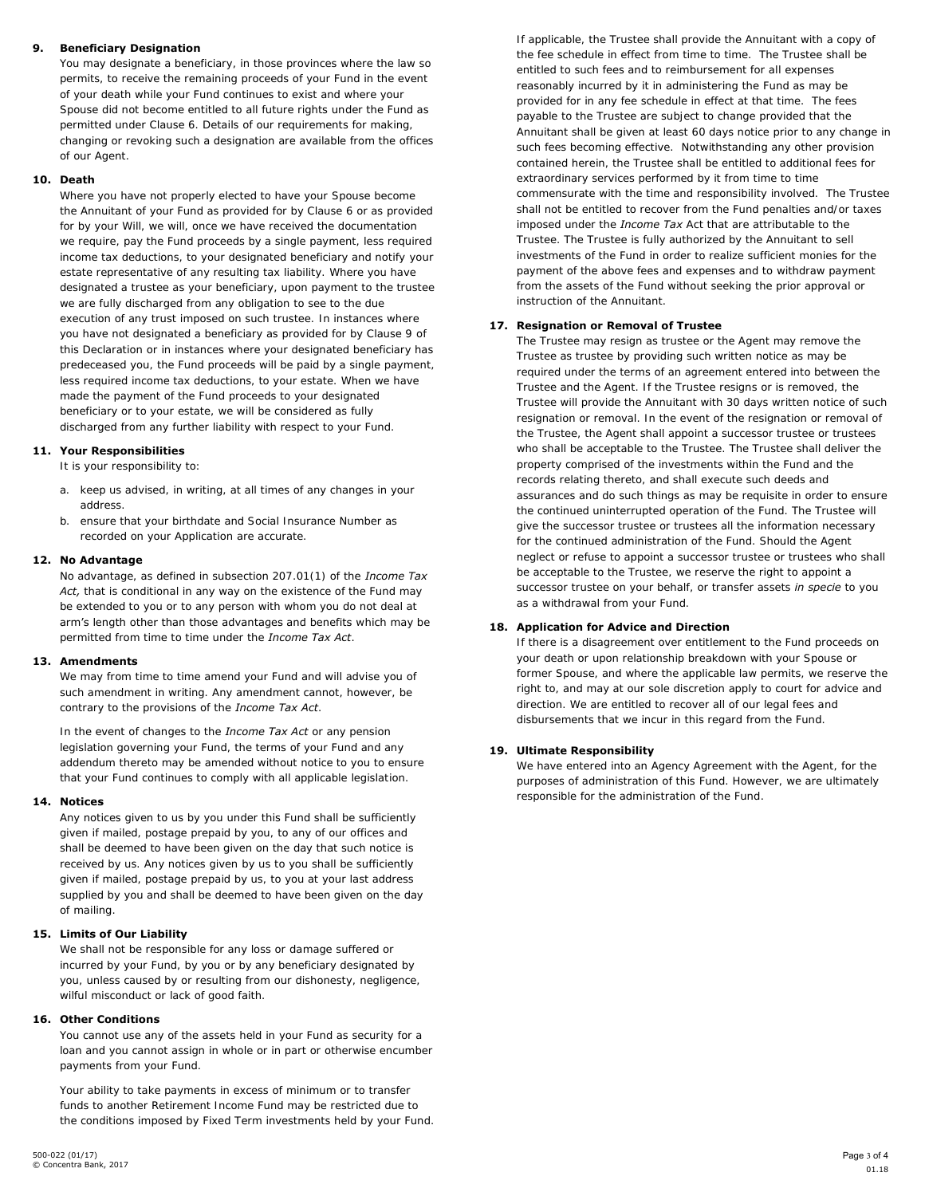# **9. Beneficiary Designation**

You may designate a beneficiary, in those provinces where the law so permits, to receive the remaining proceeds of your Fund in the event of your death while your Fund continues to exist and where your Spouse did not become entitled to all future rights under the Fund as permitted under Clause 6. Details of our requirements for making, changing or revoking such a designation are available from the offices of our Agent.

# **10. Death**

Where you have not properly elected to have your Spouse become the Annuitant of your Fund as provided for by Clause 6 or as provided for by your Will, we will, once we have received the documentation we require, pay the Fund proceeds by a single payment, less required income tax deductions, to your designated beneficiary and notify your estate representative of any resulting tax liability. Where you have designated a trustee as your beneficiary, upon payment to the trustee we are fully discharged from any obligation to see to the due execution of any trust imposed on such trustee. In instances where you have not designated a beneficiary as provided for by Clause 9 of this Declaration or in instances where your designated beneficiary has predeceased you, the Fund proceeds will be paid by a single payment, less required income tax deductions, to your estate. When we have made the payment of the Fund proceeds to your designated beneficiary or to your estate, we will be considered as fully discharged from any further liability with respect to your Fund.

# **11. Your Responsibilities**

It is your responsibility to:

- a. keep us advised, in writing, at all times of any changes in your address.
- b. ensure that your birthdate and Social Insurance Number as recorded on your Application are accurate.

### **12. No Advantage**

No advantage, as defined in subsection 207.01(1) of the *Income Tax Act,* that is conditional in any way on the existence of the Fund may be extended to you or to any person with whom you do not deal at arm's length other than those advantages and benefits which may be permitted from time to time under the *Income Tax Act*.

#### **13. Amendments**

We may from time to time amend your Fund and will advise you of such amendment in writing. Any amendment cannot, however, be contrary to the provisions of the *Income Tax Act*.

In the event of changes to the *Income Tax Act* or any pension legislation governing your Fund, the terms of your Fund and any addendum thereto may be amended without notice to you to ensure that your Fund continues to comply with all applicable legislation.

#### **14. Notices**

Any notices given to us by you under this Fund shall be sufficiently given if mailed, postage prepaid by you, to any of our offices and shall be deemed to have been given on the day that such notice is received by us. Any notices given by us to you shall be sufficiently given if mailed, postage prepaid by us, to you at your last address supplied by you and shall be deemed to have been given on the day of mailing.

# **15. Limits of Our Liability**

We shall not be responsible for any loss or damage suffered or incurred by your Fund, by you or by any beneficiary designated by you, unless caused by or resulting from our dishonesty, negligence, wilful misconduct or lack of good faith.

#### **16. Other Conditions**

You cannot use any of the assets held in your Fund as security for a loan and you cannot assign in whole or in part or otherwise encumber payments from your Fund.

Your ability to take payments in excess of minimum or to transfer funds to another Retirement Income Fund may be restricted due to the conditions imposed by Fixed Term investments held by your Fund.

If applicable, the Trustee shall provide the Annuitant with a copy of the fee schedule in effect from time to time. The Trustee shall be entitled to such fees and to reimbursement for all expenses reasonably incurred by it in administering the Fund as may be provided for in any fee schedule in effect at that time. The fees payable to the Trustee are subject to change provided that the Annuitant shall be given at least 60 days notice prior to any change in such fees becoming effective. Notwithstanding any other provision contained herein, the Trustee shall be entitled to additional fees for extraordinary services performed by it from time to time commensurate with the time and responsibility involved. The Trustee shall not be entitled to recover from the Fund penalties and/or taxes imposed under the *Income Tax* Act that are attributable to the Trustee. The Trustee is fully authorized by the Annuitant to sell investments of the Fund in order to realize sufficient monies for the payment of the above fees and expenses and to withdraw payment from the assets of the Fund without seeking the prior approval or instruction of the Annuitant.

### **17. Resignation or Removal of Trustee**

The Trustee may resign as trustee or the Agent may remove the Trustee as trustee by providing such written notice as may be required under the terms of an agreement entered into between the Trustee and the Agent. If the Trustee resigns or is removed, the Trustee will provide the Annuitant with 30 days written notice of such resignation or removal. In the event of the resignation or removal of the Trustee, the Agent shall appoint a successor trustee or trustees who shall be acceptable to the Trustee. The Trustee shall deliver the property comprised of the investments within the Fund and the records relating thereto, and shall execute such deeds and assurances and do such things as may be requisite in order to ensure the continued uninterrupted operation of the Fund. The Trustee will give the successor trustee or trustees all the information necessary for the continued administration of the Fund. Should the Agent neglect or refuse to appoint a successor trustee or trustees who shall be acceptable to the Trustee, we reserve the right to appoint a successor trustee on your behalf, or transfer assets *in specie* to you as a withdrawal from your Fund.

# **18. Application for Advice and Direction**

If there is a disagreement over entitlement to the Fund proceeds on your death or upon relationship breakdown with your Spouse or former Spouse, and where the applicable law permits, we reserve the right to, and may at our sole discretion apply to court for advice and direction. We are entitled to recover all of our legal fees and disbursements that we incur in this regard from the Fund.

# **19. Ultimate Responsibility**

We have entered into an Agency Agreement with the Agent, for the purposes of administration of this Fund. However, we are ultimately responsible for the administration of the Fund.